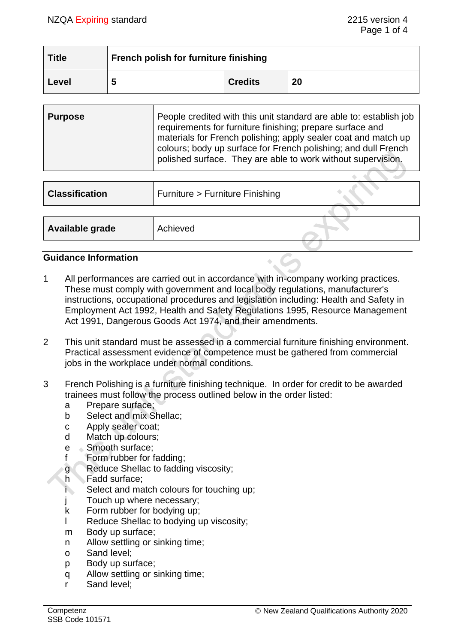| <b>Title</b> | <b>French polish for furniture finishing</b> |                |    |  |
|--------------|----------------------------------------------|----------------|----|--|
| Level        | 5                                            | <b>Credits</b> | 20 |  |

| <b>Purpose</b> | People credited with this unit standard are able to: establish job<br>requirements for furniture finishing; prepare surface and<br>materials for French polishing; apply sealer coat and match up<br>colours; body up surface for French polishing; and dull French<br>polished surface. They are able to work without supervision. |
|----------------|-------------------------------------------------------------------------------------------------------------------------------------------------------------------------------------------------------------------------------------------------------------------------------------------------------------------------------------|
|                |                                                                                                                                                                                                                                                                                                                                     |

| <b>Classification</b> | Furniture > Furniture Finishing |  |
|-----------------------|---------------------------------|--|
|                       |                                 |  |
| Available grade       | Achieved                        |  |
|                       |                                 |  |

## **Guidance Information**

- 1 All performances are carried out in accordance with in-company working practices. These must comply with government and local body regulations, manufacturer's instructions, occupational procedures and legislation including: Health and Safety in Employment Act 1992, Health and Safety Regulations 1995, Resource Management Act 1991, Dangerous Goods Act 1974, and their amendments.
- 2 This unit standard must be assessed in a commercial furniture finishing environment. Practical assessment evidence of competence must be gathered from commercial jobs in the workplace under normal conditions.
- 3 French Polishing is a furniture finishing technique. In order for credit to be awarded trainees must follow the process outlined below in the order listed:
	- a Prepare surface;
	- b Select and mix Shellac;
	- c Apply sealer coat;
	- d Match up colours;
	- e Smooth surface;
	- f Form rubber for fadding;
	- g Reduce Shellac to fadding viscosity;
	- h Fadd surface;
	- i Select and match colours for touching up;
	- j Touch up where necessary;
	- k Form rubber for bodying up;
	- l Reduce Shellac to bodying up viscosity;
	- m Body up surface;
	- n Allow settling or sinking time;
	- o Sand level;
	- p Body up surface;
	- q Allow settling or sinking time;
	- r Sand level;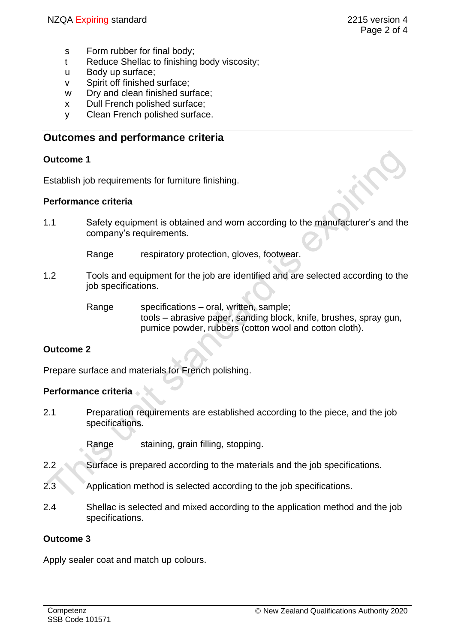- s Form rubber for final body;
- t Reduce Shellac to finishing body viscosity;
- u Body up surface;
- v Spirit off finished surface;
- w Dry and clean finished surface;
- x Dull French polished surface;
- y Clean French polished surface.

# **Outcomes and performance criteria**

#### **Outcome 1**

Establish job requirements for furniture finishing.

#### **Performance criteria**

1.1 Safety equipment is obtained and worn according to the manufacturer's and the company's requirements.

Range respiratory protection, gloves, footwear.

- 1.2 Tools and equipment for the job are identified and are selected according to the job specifications.
	- Range specifications oral, written, sample; tools – abrasive paper, sanding block, knife, brushes, spray gun, pumice powder, rubbers (cotton wool and cotton cloth).

## **Outcome 2**

Prepare surface and materials for French polishing.

## **Performance criteria**

2.1 Preparation requirements are established according to the piece, and the job specifications.

Range staining, grain filling, stopping.

- 2.2 Surface is prepared according to the materials and the job specifications.
- 2.3 Application method is selected according to the job specifications.
- 2.4 Shellac is selected and mixed according to the application method and the job specifications.

#### **Outcome 3**

Apply sealer coat and match up colours.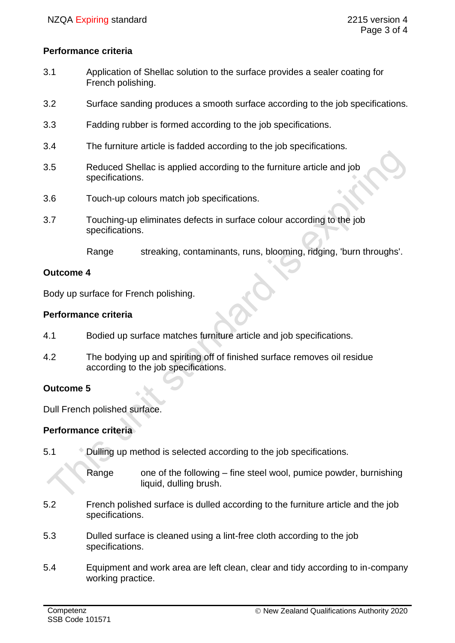#### **Performance criteria**

- 3.1 Application of Shellac solution to the surface provides a sealer coating for French polishing.
- 3.2 Surface sanding produces a smooth surface according to the job specifications.
- 3.3 Fadding rubber is formed according to the job specifications.
- 3.4 The furniture article is fadded according to the job specifications.
- 3.5 Reduced Shellac is applied according to the furniture article and job specifications.
- 3.6 Touch-up colours match job specifications.
- 3.7 Touching-up eliminates defects in surface colour according to the job specifications.

Range streaking, contaminants, runs, blooming, ridging, 'burn throughs'.

#### **Outcome 4**

Body up surface for French polishing.

#### **Performance criteria**

- 4.1 Bodied up surface matches furniture article and job specifications.
- 4.2 The bodying up and spiriting off of finished surface removes oil residue according to the job specifications.

## **Outcome 5**

Dull French polished surface.

#### **Performance criteria**

5.1 Dulling up method is selected according to the job specifications.

Range one of the following – fine steel wool, pumice powder, burnishing liquid, dulling brush.

- 5.2 French polished surface is dulled according to the furniture article and the job specifications.
- 5.3 Dulled surface is cleaned using a lint-free cloth according to the job specifications.
- 5.4 Equipment and work area are left clean, clear and tidy according to in-company working practice.